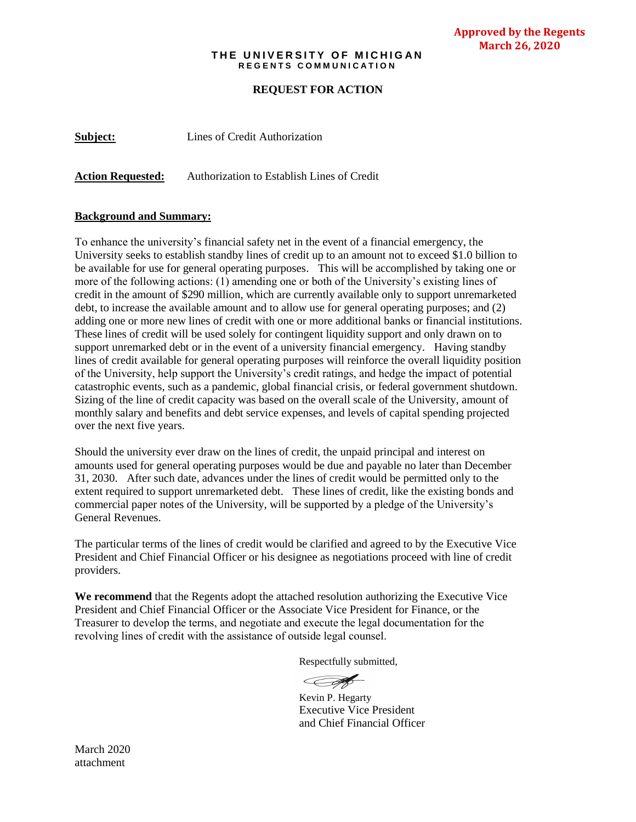## **THE UNIVERSITY OF MICHIGAN R E G E N T S C O M M U N I C A T I O N**

**Approved by the Regents March 26, 2020**

## **REQUEST FOR ACTION**

**Subject:** Lines of Credit Authorization

**Action Requested:** Authorization to Establish Lines of Credit

## **Background and Summary:**

To enhance the university's financial safety net in the event of a financial emergency, the University seeks to establish standby lines of credit up to an amount not to exceed \$1.0 billion to be available for use for general operating purposes. This will be accomplished by taking one or more of the following actions: (1) amending one or both of the University's existing lines of credit in the amount of \$290 million, which are currently available only to support unremarketed debt, to increase the available amount and to allow use for general operating purposes; and (2) adding one or more new lines of credit with one or more additional banks or financial institutions. These lines of credit will be used solely for contingent liquidity support and only drawn on to support unremarked debt or in the event of a university financial emergency. Having standby lines of credit available for general operating purposes will reinforce the overall liquidity position of the University, help support the University's credit ratings, and hedge the impact of potential catastrophic events, such as a pandemic, global financial crisis, or federal government shutdown. Sizing of the line of credit capacity was based on the overall scale of the University, amount of monthly salary and benefits and debt service expenses, and levels of capital spending projected over the next five years.

Should the university ever draw on the lines of credit, the unpaid principal and interest on amounts used for general operating purposes would be due and payable no later than December 31, 2030. After such date, advances under the lines of credit would be permitted only to the extent required to support unremarketed debt. These lines of credit, like the existing bonds and commercial paper notes of the University, will be supported by a pledge of the University's General Revenues.

The particular terms of the lines of credit would be clarified and agreed to by the Executive Vice President and Chief Financial Officer or his designee as negotiations proceed with line of credit providers.

**We recommend** that the Regents adopt the attached resolution authorizing the Executive Vice President and Chief Financial Officer or the Associate Vice President for Finance, or the Treasurer to develop the terms, and negotiate and execute the legal documentation for the revolving lines of credit with the assistance of outside legal counsel.

Respectfully submitted,

**CAR** 

Kevin P. Hegarty Executive Vice President and Chief Financial Officer

March 2020 attachment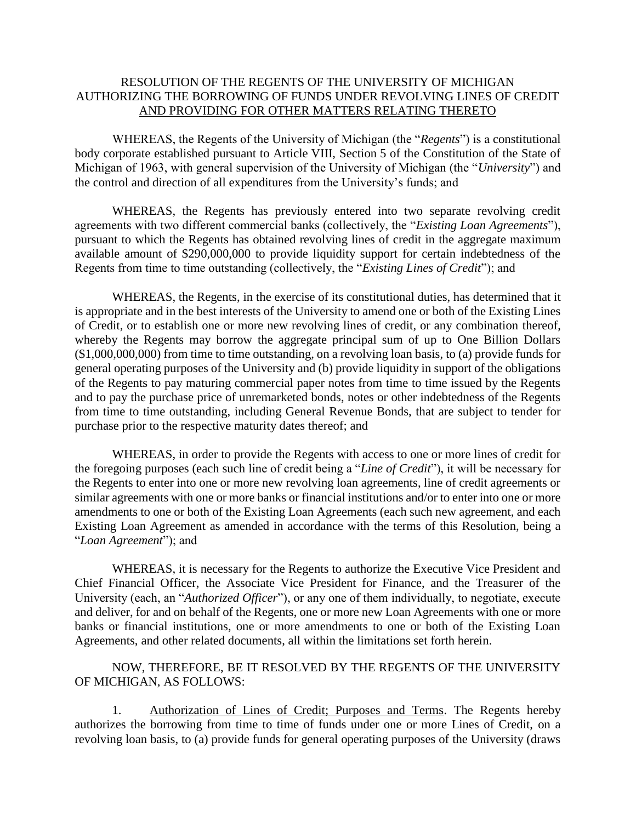## RESOLUTION OF THE REGENTS OF THE UNIVERSITY OF MICHIGAN AUTHORIZING THE BORROWING OF FUNDS UNDER REVOLVING LINES OF CREDIT AND PROVIDING FOR OTHER MATTERS RELATING THERETO

WHEREAS, the Regents of the University of Michigan (the "*Regents*") is a constitutional body corporate established pursuant to Article VIII, Section 5 of the Constitution of the State of Michigan of 1963, with general supervision of the University of Michigan (the "*University*") and the control and direction of all expenditures from the University's funds; and

WHEREAS, the Regents has previously entered into two separate revolving credit agreements with two different commercial banks (collectively, the "*Existing Loan Agreements*"), pursuant to which the Regents has obtained revolving lines of credit in the aggregate maximum available amount of \$290,000,000 to provide liquidity support for certain indebtedness of the Regents from time to time outstanding (collectively, the "*Existing Lines of Credit*"); and

WHEREAS, the Regents, in the exercise of its constitutional duties, has determined that it is appropriate and in the best interests of the University to amend one or both of the Existing Lines of Credit, or to establish one or more new revolving lines of credit, or any combination thereof, whereby the Regents may borrow the aggregate principal sum of up to One Billion Dollars (\$1,000,000,000) from time to time outstanding, on a revolving loan basis, to (a) provide funds for general operating purposes of the University and (b) provide liquidity in support of the obligations of the Regents to pay maturing commercial paper notes from time to time issued by the Regents and to pay the purchase price of unremarketed bonds, notes or other indebtedness of the Regents from time to time outstanding, including General Revenue Bonds, that are subject to tender for purchase prior to the respective maturity dates thereof; and

WHEREAS, in order to provide the Regents with access to one or more lines of credit for the foregoing purposes (each such line of credit being a "*Line of Credit*"), it will be necessary for the Regents to enter into one or more new revolving loan agreements, line of credit agreements or similar agreements with one or more banks or financial institutions and/or to enter into one or more amendments to one or both of the Existing Loan Agreements (each such new agreement, and each Existing Loan Agreement as amended in accordance with the terms of this Resolution, being a "*Loan Agreement*"); and

WHEREAS, it is necessary for the Regents to authorize the Executive Vice President and Chief Financial Officer, the Associate Vice President for Finance, and the Treasurer of the University (each, an "*Authorized Officer*"), or any one of them individually, to negotiate, execute and deliver, for and on behalf of the Regents, one or more new Loan Agreements with one or more banks or financial institutions, one or more amendments to one or both of the Existing Loan Agreements, and other related documents, all within the limitations set forth herein.

NOW, THEREFORE, BE IT RESOLVED BY THE REGENTS OF THE UNIVERSITY OF MICHIGAN, AS FOLLOWS:

1. Authorization of Lines of Credit; Purposes and Terms. The Regents hereby authorizes the borrowing from time to time of funds under one or more Lines of Credit, on a revolving loan basis, to (a) provide funds for general operating purposes of the University (draws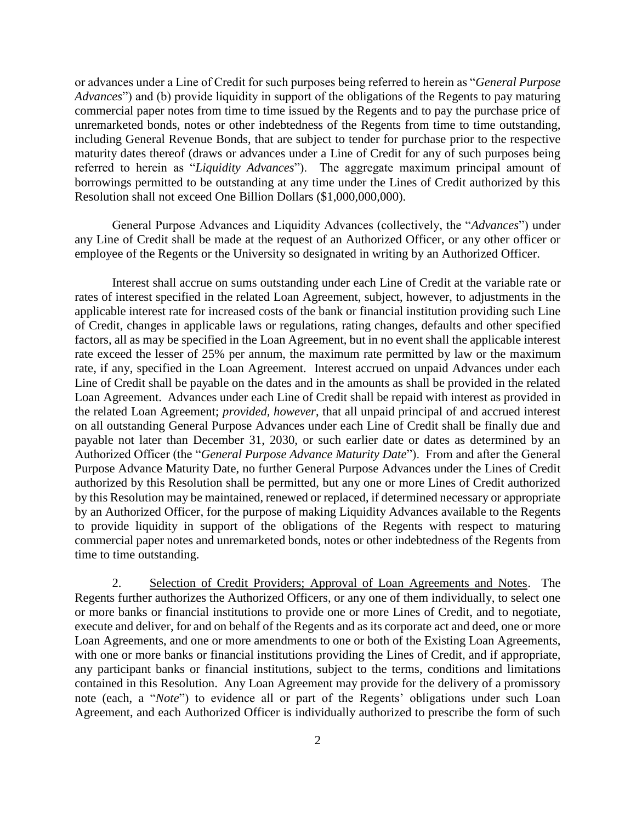or advances under a Line of Credit for such purposes being referred to herein as "*General Purpose Advances*") and (b) provide liquidity in support of the obligations of the Regents to pay maturing commercial paper notes from time to time issued by the Regents and to pay the purchase price of unremarketed bonds, notes or other indebtedness of the Regents from time to time outstanding, including General Revenue Bonds, that are subject to tender for purchase prior to the respective maturity dates thereof (draws or advances under a Line of Credit for any of such purposes being referred to herein as "*Liquidity Advances*"). The aggregate maximum principal amount of borrowings permitted to be outstanding at any time under the Lines of Credit authorized by this Resolution shall not exceed One Billion Dollars (\$1,000,000,000).

General Purpose Advances and Liquidity Advances (collectively, the "*Advances*") under any Line of Credit shall be made at the request of an Authorized Officer, or any other officer or employee of the Regents or the University so designated in writing by an Authorized Officer.

Interest shall accrue on sums outstanding under each Line of Credit at the variable rate or rates of interest specified in the related Loan Agreement, subject, however, to adjustments in the applicable interest rate for increased costs of the bank or financial institution providing such Line of Credit, changes in applicable laws or regulations, rating changes, defaults and other specified factors, all as may be specified in the Loan Agreement, but in no event shall the applicable interest rate exceed the lesser of 25% per annum, the maximum rate permitted by law or the maximum rate, if any, specified in the Loan Agreement. Interest accrued on unpaid Advances under each Line of Credit shall be payable on the dates and in the amounts as shall be provided in the related Loan Agreement. Advances under each Line of Credit shall be repaid with interest as provided in the related Loan Agreement; *provided, however*, that all unpaid principal of and accrued interest on all outstanding General Purpose Advances under each Line of Credit shall be finally due and payable not later than December 31, 2030, or such earlier date or dates as determined by an Authorized Officer (the "*General Purpose Advance Maturity Date*"). From and after the General Purpose Advance Maturity Date, no further General Purpose Advances under the Lines of Credit authorized by this Resolution shall be permitted, but any one or more Lines of Credit authorized by this Resolution may be maintained, renewed or replaced, if determined necessary or appropriate by an Authorized Officer, for the purpose of making Liquidity Advances available to the Regents to provide liquidity in support of the obligations of the Regents with respect to maturing commercial paper notes and unremarketed bonds, notes or other indebtedness of the Regents from time to time outstanding.

2. Selection of Credit Providers; Approval of Loan Agreements and Notes. The Regents further authorizes the Authorized Officers, or any one of them individually, to select one or more banks or financial institutions to provide one or more Lines of Credit, and to negotiate, execute and deliver, for and on behalf of the Regents and as its corporate act and deed, one or more Loan Agreements, and one or more amendments to one or both of the Existing Loan Agreements, with one or more banks or financial institutions providing the Lines of Credit, and if appropriate, any participant banks or financial institutions, subject to the terms, conditions and limitations contained in this Resolution. Any Loan Agreement may provide for the delivery of a promissory note (each, a "*Note*") to evidence all or part of the Regents' obligations under such Loan Agreement, and each Authorized Officer is individually authorized to prescribe the form of such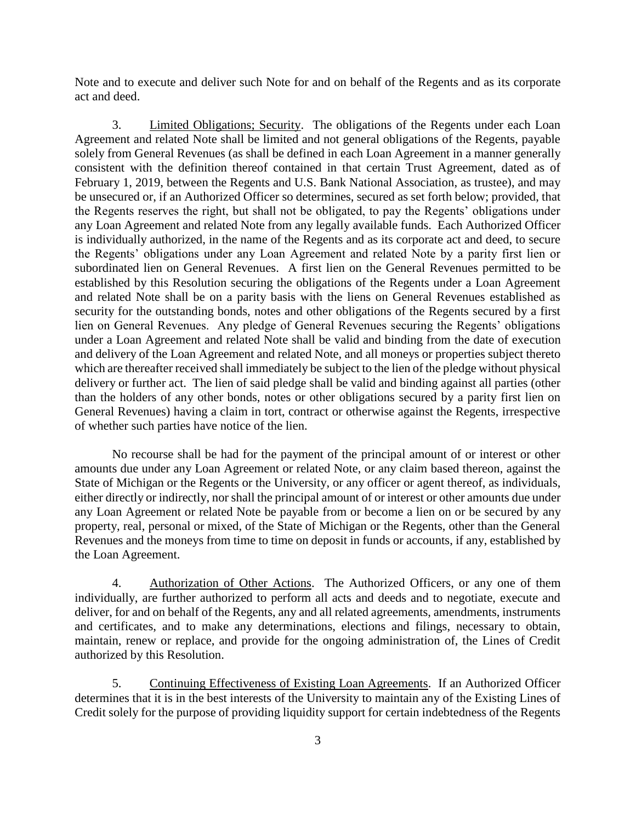Note and to execute and deliver such Note for and on behalf of the Regents and as its corporate act and deed.

3. Limited Obligations; Security. The obligations of the Regents under each Loan Agreement and related Note shall be limited and not general obligations of the Regents, payable solely from General Revenues (as shall be defined in each Loan Agreement in a manner generally consistent with the definition thereof contained in that certain Trust Agreement, dated as of February 1, 2019, between the Regents and U.S. Bank National Association, as trustee), and may be unsecured or, if an Authorized Officer so determines, secured as set forth below; provided, that the Regents reserves the right, but shall not be obligated, to pay the Regents' obligations under any Loan Agreement and related Note from any legally available funds. Each Authorized Officer is individually authorized, in the name of the Regents and as its corporate act and deed, to secure the Regents' obligations under any Loan Agreement and related Note by a parity first lien or subordinated lien on General Revenues. A first lien on the General Revenues permitted to be established by this Resolution securing the obligations of the Regents under a Loan Agreement and related Note shall be on a parity basis with the liens on General Revenues established as security for the outstanding bonds, notes and other obligations of the Regents secured by a first lien on General Revenues. Any pledge of General Revenues securing the Regents' obligations under a Loan Agreement and related Note shall be valid and binding from the date of execution and delivery of the Loan Agreement and related Note, and all moneys or properties subject thereto which are thereafter received shall immediately be subject to the lien of the pledge without physical delivery or further act. The lien of said pledge shall be valid and binding against all parties (other than the holders of any other bonds, notes or other obligations secured by a parity first lien on General Revenues) having a claim in tort, contract or otherwise against the Regents, irrespective of whether such parties have notice of the lien.

No recourse shall be had for the payment of the principal amount of or interest or other amounts due under any Loan Agreement or related Note, or any claim based thereon, against the State of Michigan or the Regents or the University, or any officer or agent thereof, as individuals, either directly or indirectly, nor shall the principal amount of or interest or other amounts due under any Loan Agreement or related Note be payable from or become a lien on or be secured by any property, real, personal or mixed, of the State of Michigan or the Regents, other than the General Revenues and the moneys from time to time on deposit in funds or accounts, if any, established by the Loan Agreement.

4. Authorization of Other Actions. The Authorized Officers, or any one of them individually, are further authorized to perform all acts and deeds and to negotiate, execute and deliver, for and on behalf of the Regents, any and all related agreements, amendments, instruments and certificates, and to make any determinations, elections and filings, necessary to obtain, maintain, renew or replace, and provide for the ongoing administration of, the Lines of Credit authorized by this Resolution.

5. Continuing Effectiveness of Existing Loan Agreements. If an Authorized Officer determines that it is in the best interests of the University to maintain any of the Existing Lines of Credit solely for the purpose of providing liquidity support for certain indebtedness of the Regents